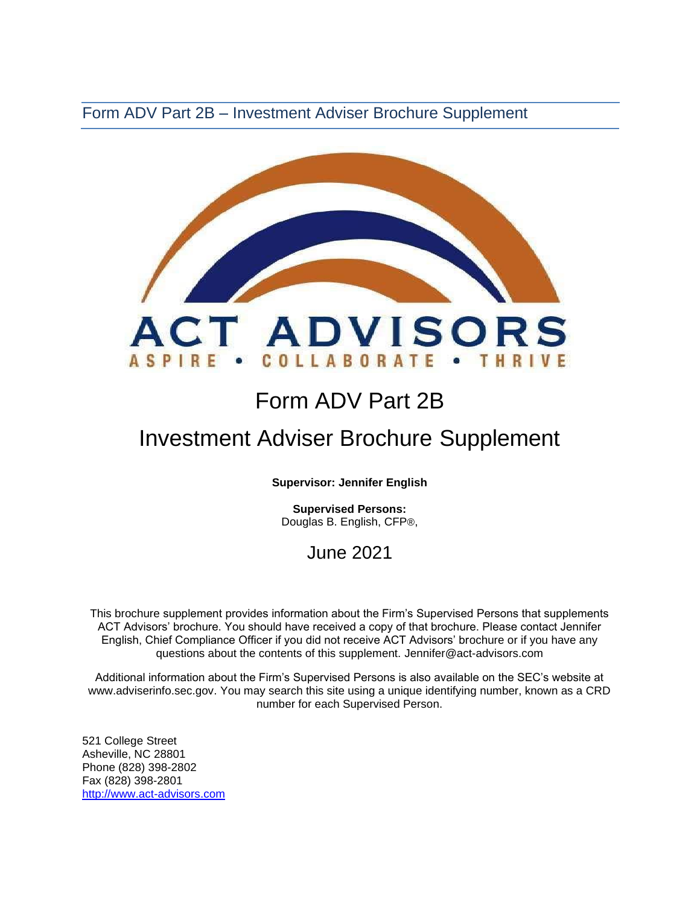Form ADV Part 2B – Investment Adviser Brochure Supplement



# Form ADV Part 2B

## Investment Adviser Brochure Supplement

**Supervisor: Jennifer English** 

**Supervised Persons:** Douglas B. English, CFP®,

### June 2021

This brochure supplement provides information about the Firm's Supervised Persons that supplements ACT Advisors' brochure. You should have received a copy of that brochure. Please contact Jennifer English, Chief Compliance Officer if you did not receive ACT Advisors' brochure or if you have any questions about the contents of this supplement. Jennifer@act-advisors.com

Additional information about the Firm's Supervised Persons is also available on the SEC's website at [www.adviserinfo.sec.gov. Y](http://www.adviserinfo.sec.gov/)ou may search this site using a unique identifying number, known as a CRD number for each Supervised Person.

521 College Street Asheville, NC 28801 Phone (828) 398-2802 Fax (828) 398-2801 [http://www.act-advisors.com](http://www.act-advisors.com/)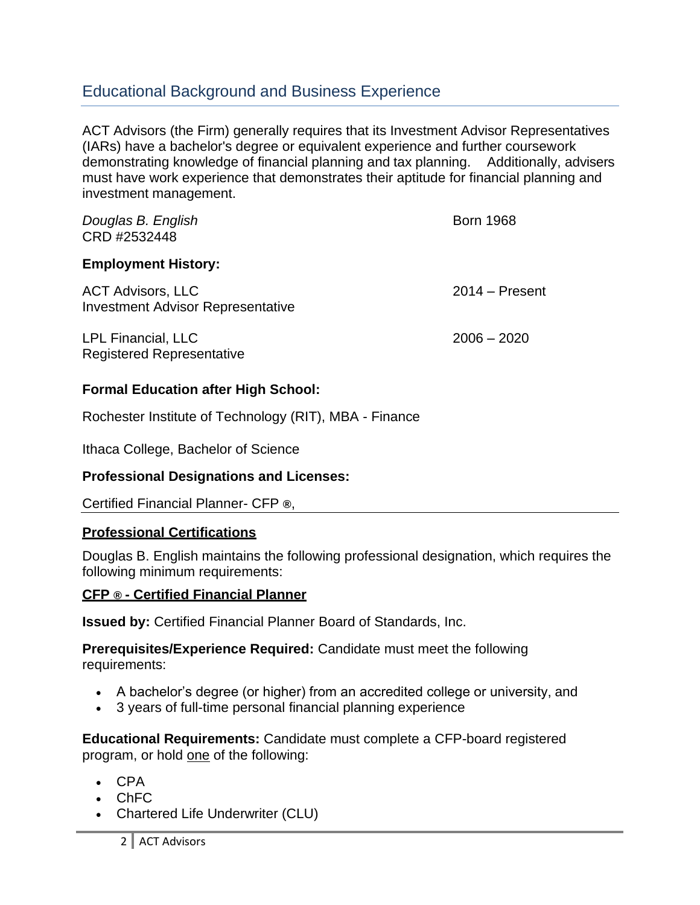### Educational Background and Business Experience

ACT Advisors (the Firm) generally requires that its Investment Advisor Representatives (IARs) have a bachelor's degree or equivalent experience and further coursework demonstrating knowledge of financial planning and tax planning. Additionally, advisers must have work experience that demonstrates their aptitude for financial planning and investment management.

| Douglas B. English<br>CRD #2532448                                   | <b>Born 1968</b> |
|----------------------------------------------------------------------|------------------|
| <b>Employment History:</b>                                           |                  |
| <b>ACT Advisors, LLC</b><br><b>Investment Advisor Representative</b> | $2014 -$ Present |
| LPL Financial, LLC<br><b>Registered Representative</b>               | $2006 - 2020$    |

#### **Formal Education after High School:**

Rochester Institute of Technology (RIT), MBA - Finance

Ithaca College, Bachelor of Science

#### **Professional Designations and Licenses:**

Certified Financial Planner- CFP **®**,

#### **Professional Certifications**

Douglas B. English maintains the following professional designation, which requires the following minimum requirements:

#### **CFP ® - Certified Financial Planner**

**Issued by:** [Certified Financial Planner Board of Standards, Inc.](http://www.cfp.net/default.asp)

**Prerequisites/Experience Required:** Candidate must meet the following requirements:

- A bachelor's degree (or higher) from an accredited college or university, and
- 3 years of full-time personal financial planning experience

**Educational Requirements:** Candidate must complete a [CFP-board registered](http://www.cfp.net/become/programs.asp) [program,](http://www.cfp.net/become/programs.asp) or hold one of the following:

- CPA
- ChFC
- Chartered Life Underwriter (CLU)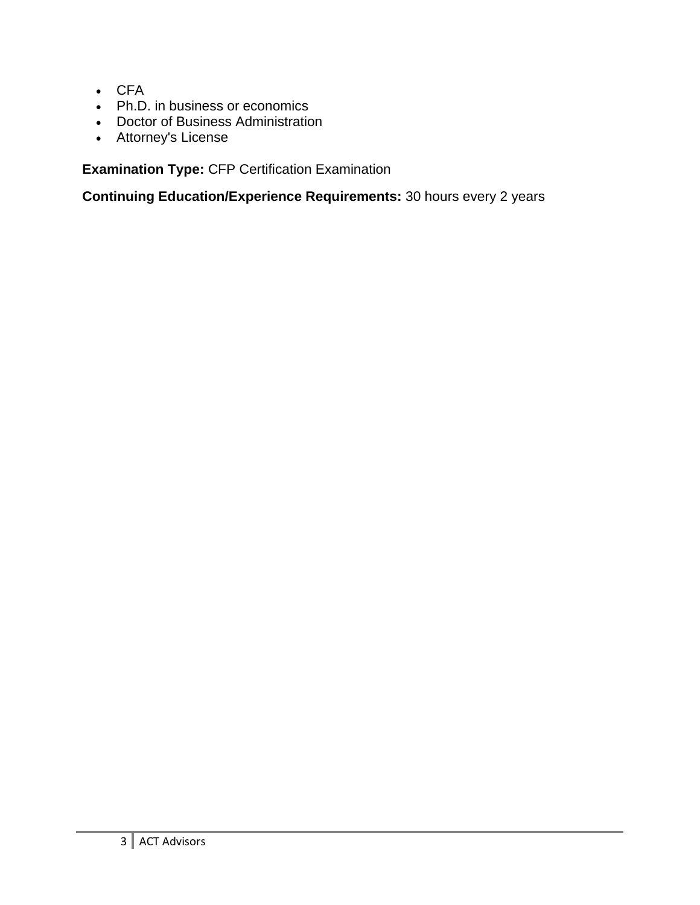- CFA
- Ph.D. in business or economics
- Doctor of Business Administration
- Attorney's License

**Examination Type:** CFP Certification Examination

**Continuing Education/Experience Requirements:** 30 hours every 2 years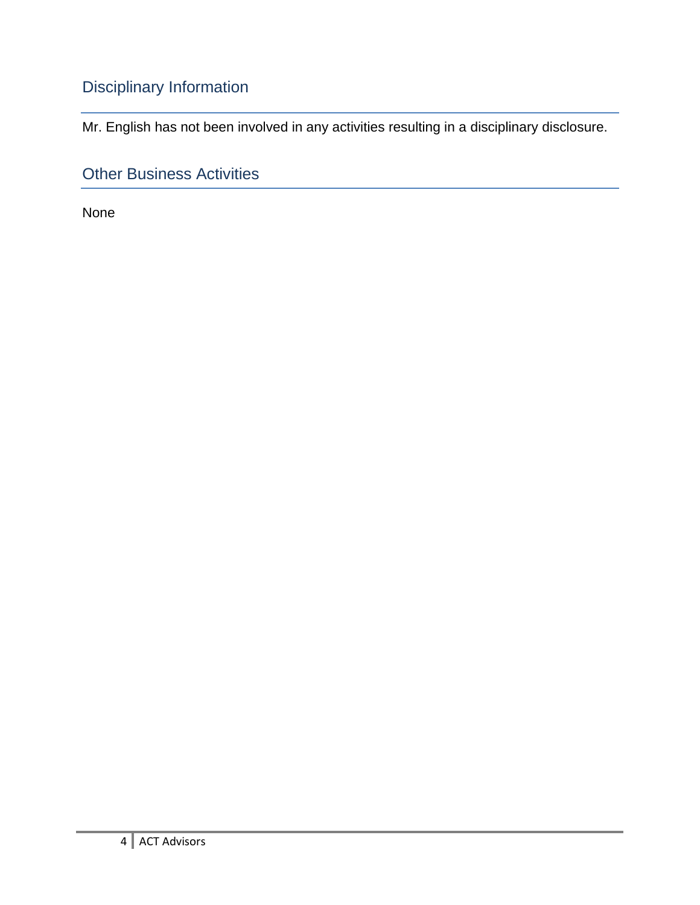## Disciplinary Information

Mr. English has not been involved in any activities resulting in a disciplinary disclosure.

Other Business Activities

None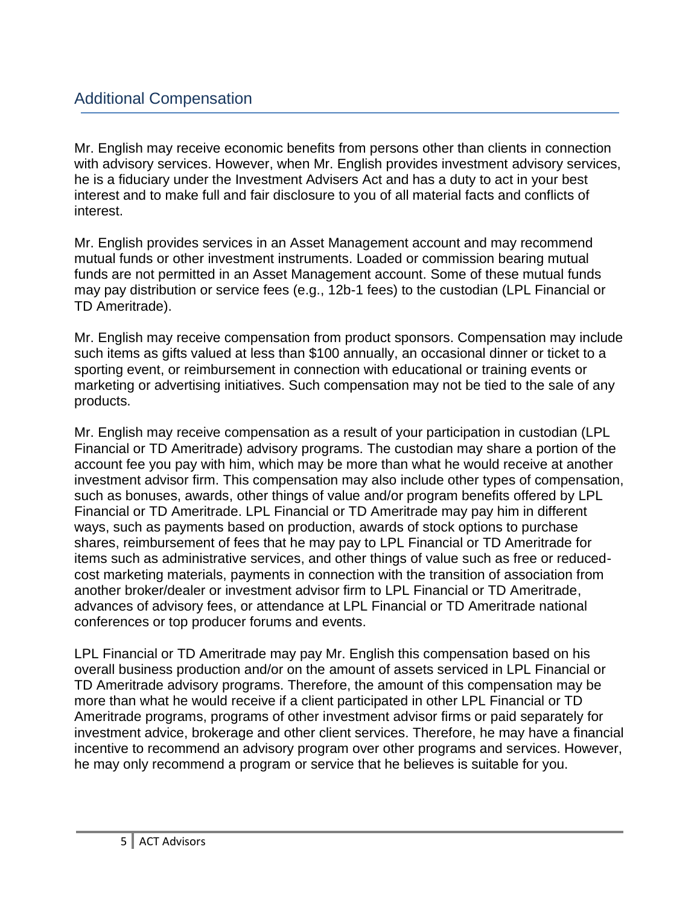Mr. English may receive economic benefits from persons other than clients in connection with advisory services. However, when Mr. English provides investment advisory services, he is a fiduciary under the Investment Advisers Act and has a duty to act in your best interest and to make full and fair disclosure to you of all material facts and conflicts of interest.

Mr. English provides services in an Asset Management account and may recommend mutual funds or other investment instruments. Loaded or commission bearing mutual funds are not permitted in an Asset Management account. Some of these mutual funds may pay distribution or service fees (e.g., 12b-1 fees) to the custodian (LPL Financial or TD Ameritrade).

Mr. English may receive compensation from product sponsors. Compensation may include such items as gifts valued at less than \$100 annually, an occasional dinner or ticket to a sporting event, or reimbursement in connection with educational or training events or marketing or advertising initiatives. Such compensation may not be tied to the sale of any products.

Mr. English may receive compensation as a result of your participation in custodian (LPL Financial or TD Ameritrade) advisory programs. The custodian may share a portion of the account fee you pay with him, which may be more than what he would receive at another investment advisor firm. This compensation may also include other types of compensation, such as bonuses, awards, other things of value and/or program benefits offered by LPL Financial or TD Ameritrade. LPL Financial or TD Ameritrade may pay him in different ways, such as payments based on production, awards of stock options to purchase shares, reimbursement of fees that he may pay to LPL Financial or TD Ameritrade for items such as administrative services, and other things of value such as free or reducedcost marketing materials, payments in connection with the transition of association from another broker/dealer or investment advisor firm to LPL Financial or TD Ameritrade, advances of advisory fees, or attendance at LPL Financial or TD Ameritrade national conferences or top producer forums and events.

LPL Financial or TD Ameritrade may pay Mr. English this compensation based on his overall business production and/or on the amount of assets serviced in LPL Financial or TD Ameritrade advisory programs. Therefore, the amount of this compensation may be more than what he would receive if a client participated in other LPL Financial or TD Ameritrade programs, programs of other investment advisor firms or paid separately for investment advice, brokerage and other client services. Therefore, he may have a financial incentive to recommend an advisory program over other programs and services. However, he may only recommend a program or service that he believes is suitable for you.